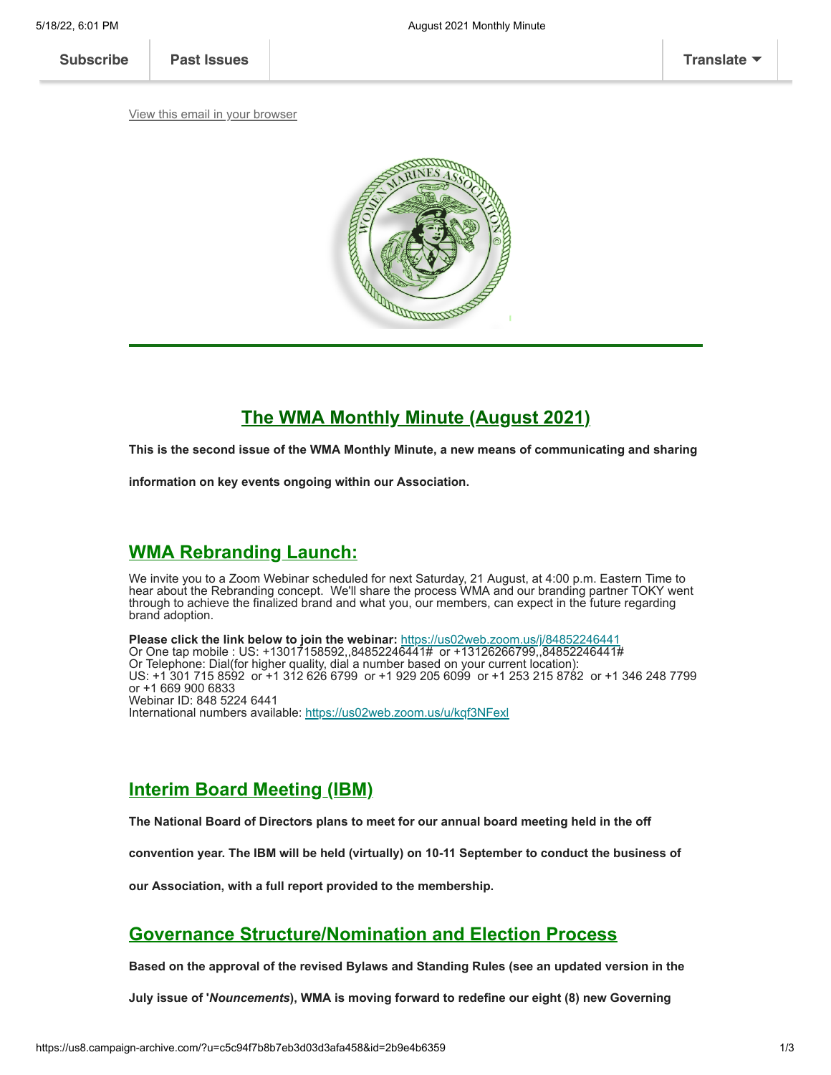[View this email in your browser](https://mailchi.mp/314b17e2a062/august-2021-monthly-minute?e=[UNIQID])



# **The WMA Monthly Minute (August 2021)**

**This is the second issue of the WMA Monthly Minute, a new means of communicating and sharing**

**information on key events ongoing within our Association.**

# **WMA Rebranding Launch:**

We invite you to a Zoom Webinar scheduled for next Saturday, 21 August, at 4:00 p.m. Eastern Time to hear about the Rebranding concept. We'll share the process WMA and our branding partner TOKY went through to achieve the finalized brand and what you, our members, can expect in the future regarding brand adoption.

**Please click the link below to join the webinar:** <https://us02web.zoom.us/j/84852246441> Or One tap mobile : US: +13017158592,,84852246441# or +13126266799,,84852246441# Or Telephone: Dial(for higher quality, dial a number based on your current location): US: +1 301 715 8592 or +1 312 626 6799 or +1 929 205 6099 or +1 253 215 8782 or +1 346 248 7799 or +1 669 900 6833 Webinar ID: 848 5224 6441 International numbers available: <https://us02web.zoom.us/u/kqf3NFexl>

# **Interim Board Meeting (IBM)**

**The National Board of Directors plans to meet for our annual board meeting held in the off**

**convention year. The IBM will be held (virtually) on 10-11 September to conduct the business of**

**our Association, with a full report provided to the membership.**

# **Governance Structure/Nomination and Election Process**

**Based on the approval of the revised Bylaws and Standing Rules (see an updated version in the**

**July issue of '***Nouncements***), WMA is moving forward to redefine our eight (8) new Governing**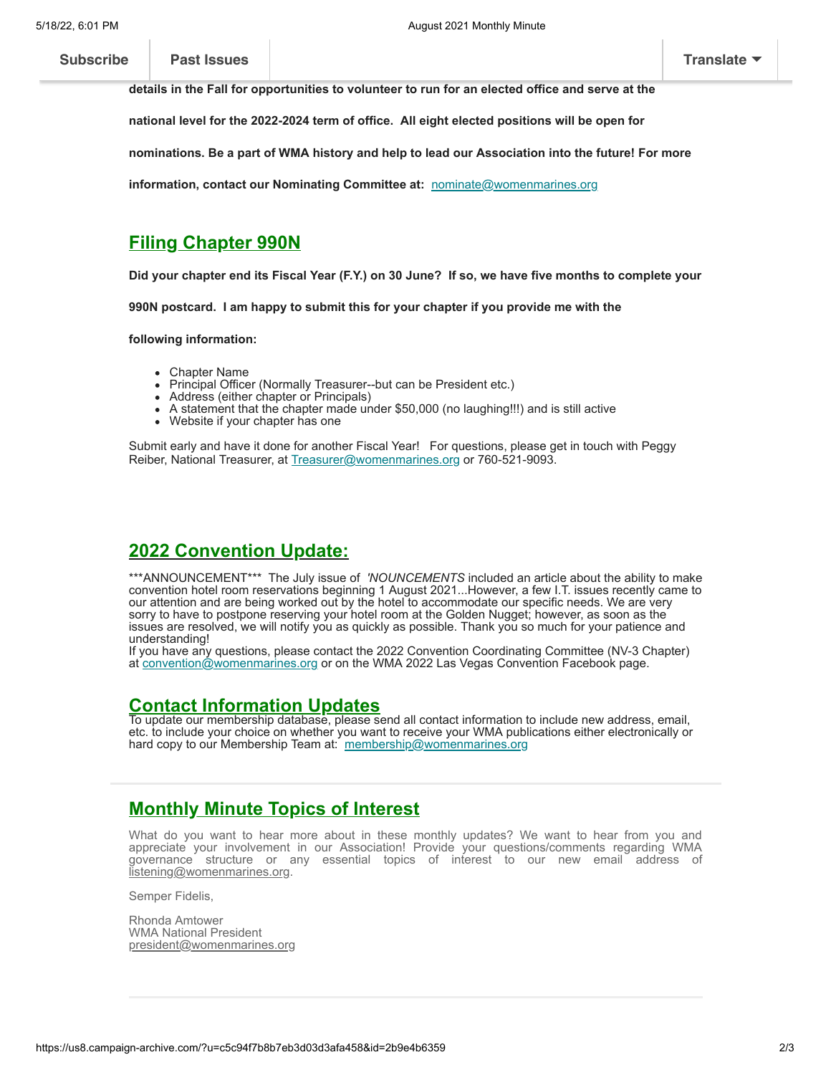**[Subscribe](http://eepurl.com/g1PW-5) Past Issues [Translate](javascript:;)**

**details in the Fall for opportunities to volunteer to run for an elected office and serve at the**

**national level for the 2022-2024 term of office. All eight elected positions will be open for**

**nominations. Be a part of WMA history and help to lead our Association into the future! For more**

**information, contact our Nominating Committee at:** [nominate@womenmarines.org](mailto:nominate@womenmarines.org)

### **Filing Chapter 990N**

**Did your chapter end its Fiscal Year (F.Y.) on 30 June? If so, we have five months to complete your**

**990N postcard. I am happy to submit this for your chapter if you provide me with the**

**following information:**

- Chapter Name
- Principal Officer (Normally Treasurer--but can be President etc.)
- Address (either chapter or Principals)
- A statement that the chapter made under \$50,000 (no laughing!!!) and is still active
- Website if your chapter has one

Submit early and have it done for another Fiscal Year! For questions, please get in touch with Peggy Reiber, National Treasurer, at [Treasurer@womenmarines.org](mailto:Treasurer@womenmarines.org) or 760-521-9093.

# **2022 Convention Update:**

\*\*\*ANNOUNCEMENT\*\*\* The July issue of *'NOUNCEMENTS* included an article about the ability to make convention hotel room reservations beginning 1 August 2021...However, a few I.T. issues recently came to our attention and are being worked out by the hotel to accommodate our specific needs. We are very sorry to have to postpone reserving your hotel room at the Golden Nugget; however, as soon as the issues are resolved, we will notify you as quickly as possible. Thank you so much for your patience and understanding!

If you have any questions, please contact the 2022 Convention Coordinating Committee (NV-3 Chapter) at [convention@womenmarines.org](mailto:convention@womenmarines.org) or on the WMA 2022 Las Vegas Convention Facebook page.

#### **Contact Information Updates**

To update our membership database, please send all contact information to include new address, email, etc. to include your choice on whether you want to receive your WMA publications either electronically or hard copy to our Membership Team at: [membership@womenmarines.org](mailto:membership@womenmarines.org)

# **Monthly Minute Topics of Interest**

What do you want to hear more about in these monthly updates? We want to hear from you and appreciate your involvement in our Association! Provide your questions/comments regarding WMA governance structure or any essential topics of interest to our new email address of listenin<u>g@womenmarines.org</u>.

Semper Fidelis,

Rhonda Amtower WMA National President [president@womenmarines.org](mailto:president@womenmarines.org)